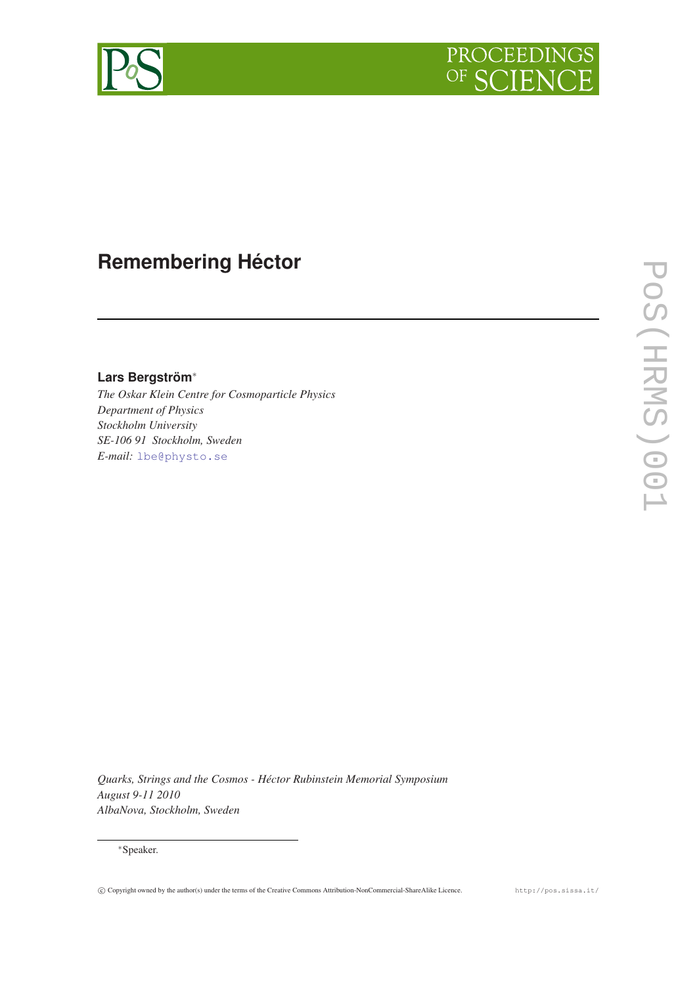



## **Remembering Héctor**

**Lars Bergström**<sup>∗</sup>

*The Oskar Klein Centre for Cosmoparticle Physics Department of Physics Stockholm University SE-106 91 Stockholm, Sweden E-mail:* [lbe@physto.se](mailto:lbe@physto.se)

*Quarks, Strings and the Cosmos - Héctor Rubinstein Memorial Symposium August 9-11 2010 AlbaNova, Stockholm, Sweden*

## <sup>∗</sup>Speaker.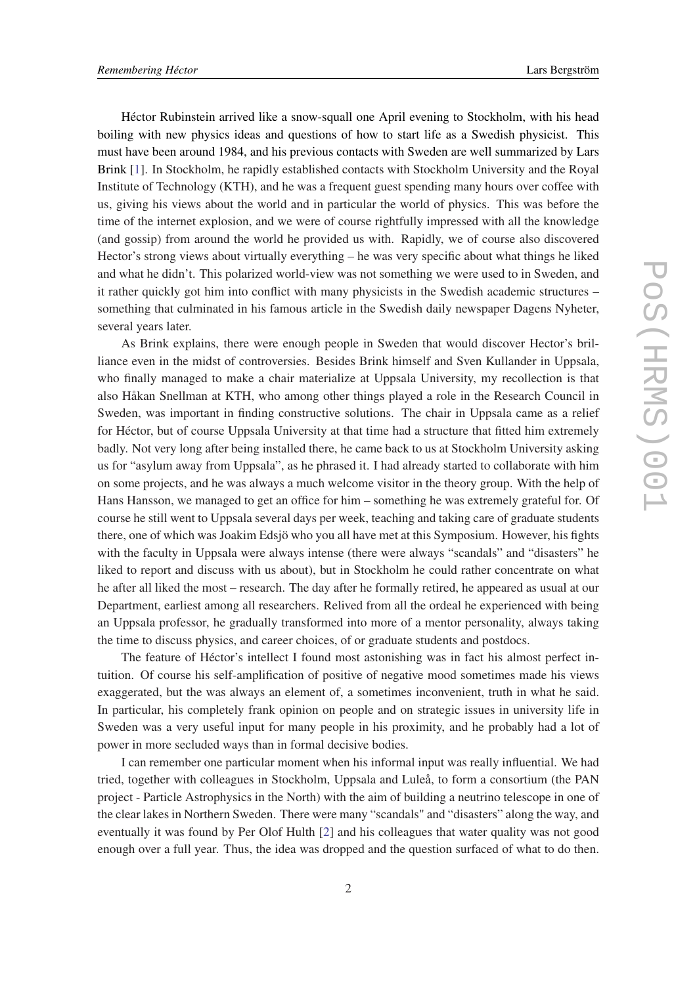Héctor Rubinstein arrived like a snow-squall one April evening to Stockholm, with his head boiling with new physics ideas and questions of how to start life as a Swedish physicist. This must have been around 1984, and his previous contacts with Sweden are well summarized by Lars Brink [[1](#page-2-0)]. In Stockholm, he rapidly established contacts with Stockholm University and the Royal Institute of Technology (KTH), and he was a frequent guest spending many hours over coffee with us, giving his views about the world and in particular the world of physics. This was before the time of the internet explosion, and we were of course rightfully impressed with all the knowledge (and gossip) from around the world he provided us with. Rapidly, we of course also discovered Hector's strong views about virtually everything – he was very specific about what things he liked and what he didn't. This polarized world-view was not something we were used to in Sweden, and it rather quickly got him into conflict with many physicists in the Swedish academic structures – something that culminated in his famous article in the Swedish daily newspaper Dagens Nyheter, several years later.

As Brink explains, there were enough people in Sweden that would discover Hector's brilliance even in the midst of controversies. Besides Brink himself and Sven Kullander in Uppsala, who finally managed to make a chair materialize at Uppsala University, my recollection is that also Håkan Snellman at KTH, who among other things played a role in the Research Council in Sweden, was important in finding constructive solutions. The chair in Uppsala came as a relief for Héctor, but of course Uppsala University at that time had a structure that fitted him extremely badly. Not very long after being installed there, he came back to us at Stockholm University asking us for "asylum away from Uppsala", as he phrased it. I had already started to collaborate with him on some projects, and he was always a much welcome visitor in the theory group. With the help of Hans Hansson, we managed to get an office for him – something he was extremely grateful for. Of course he still went to Uppsala several days per week, teaching and taking care of graduate students there, one of which was Joakim Edsjö who you all have met at this Symposium. However, his fights with the faculty in Uppsala were always intense (there were always "scandals" and "disasters" he liked to report and discuss with us about), but in Stockholm he could rather concentrate on what he after all liked the most – research. The day after he formally retired, he appeared as usual at our Department, earliest among all researchers. Relived from all the ordeal he experienced with being an Uppsala professor, he gradually transformed into more of a mentor personality, always taking the time to discuss physics, and career choices, of or graduate students and postdocs.

The feature of Héctor's intellect I found most astonishing was in fact his almost perfect intuition. Of course his self-amplification of positive of negative mood sometimes made his views exaggerated, but the was always an element of, a sometimes inconvenient, truth in what he said. In particular, his completely frank opinion on people and on strategic issues in university life in Sweden was a very useful input for many people in his proximity, and he probably had a lot of power in more secluded ways than in formal decisive bodies.

I can remember one particular moment when his informal input was really influential. We had tried, together with colleagues in Stockholm, Uppsala and Luleå, to form a consortium (the PAN project - Particle Astrophysics in the North) with the aim of building a neutrino telescope in one of the clear lakes in Northern Sweden. There were many "scandals" and "disasters" along the way, and eventually it was found by Per Olof Hulth [\[2\]](#page-2-0) and his colleagues that water quality was not good enough over a full year. Thus, the idea was dropped and the question surfaced of what to do then.